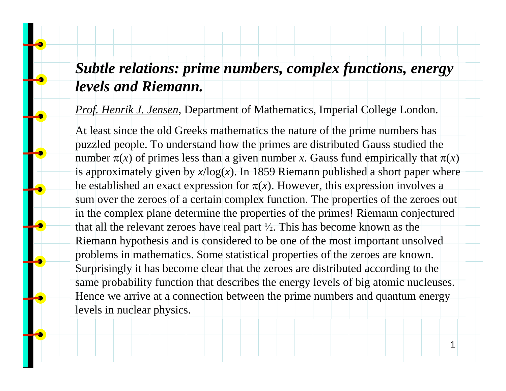## *Subtle relations: prime numbers, complex functions, energy levels and Riemann.*

*Prof. Henrik J. Jensen,* Department of Mathematics, Imperial College London.

At least since the old Greeks mathematics the nature of the prime numbers has puzzled people. To understand how the primes are distributed Gauss studied the number  $\pi(x)$  of primes less than a given number *x*. Gauss fund empirically that  $\pi(x)$ is approximately given by  $x/\log(x)$ . In 1859 Riemann published a short paper where he established an exact expression for  $\pi(x)$ . However, this expression involves a sum over the zeroes of a certain complex function. The properties of the zeroes out in the complex plane determine the properties of the primes! Riemann conjectured that all the relevant zeroes have real part  $\frac{1}{2}$ . This has become known as the Riemann hypothesis and is considered to be one of the most important unsolved problems in mathematics. Some statistical properties of the zeroes are known. Surprisingly it has become clear that the zeroes are distributed according to the same probability function that describes the energy levels of big atomic nucleuses. Hence we arrive at a connection between the prime numbers and quantum energy levels in nuclear physics.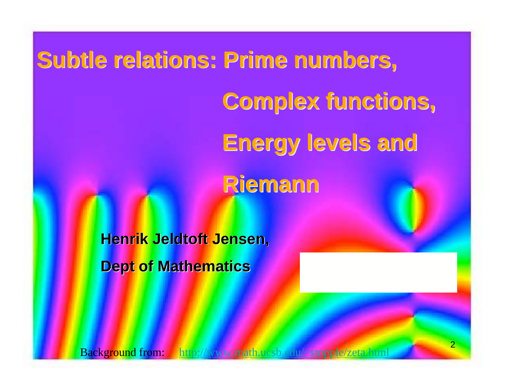**Subtle relations: Prime numbers, Subtle relations: Prime numbers, Complex functions, Complex functions, Energy levels and Energy levels and Riemann Riemann**

> **Henrik Jeldtoft Jensen, Dept of Mathematics**

Background from: http://www.math.ucsb.edu/~stopple/zeta.hunl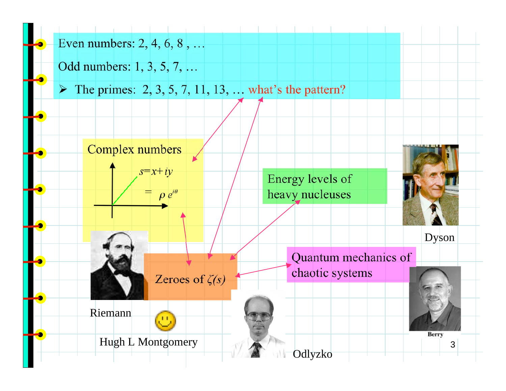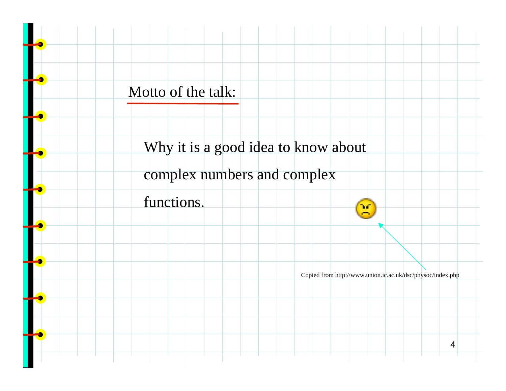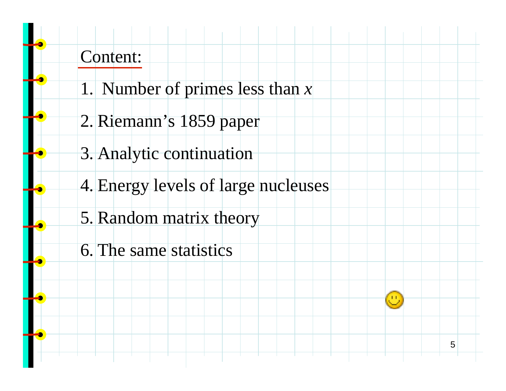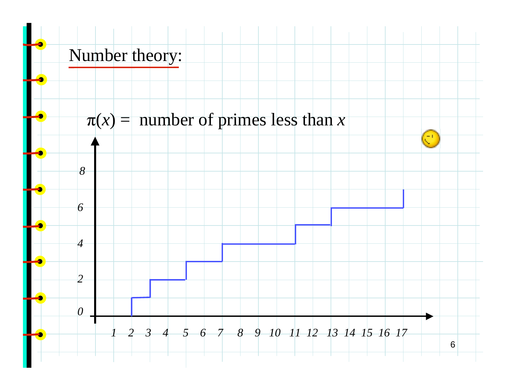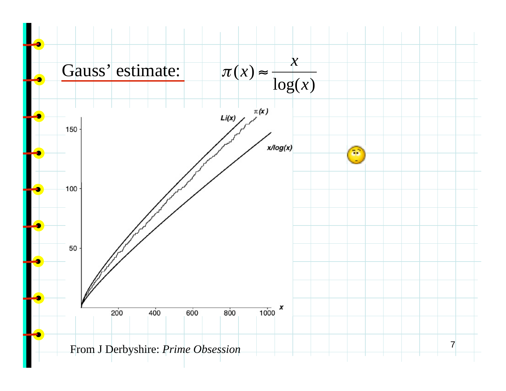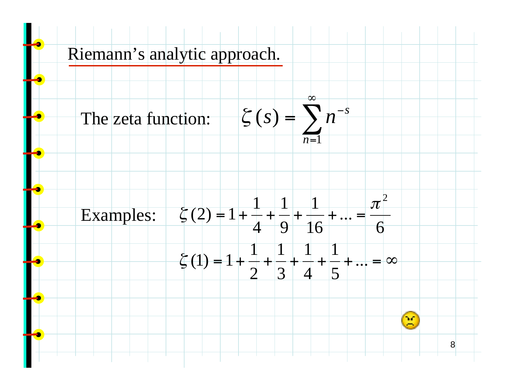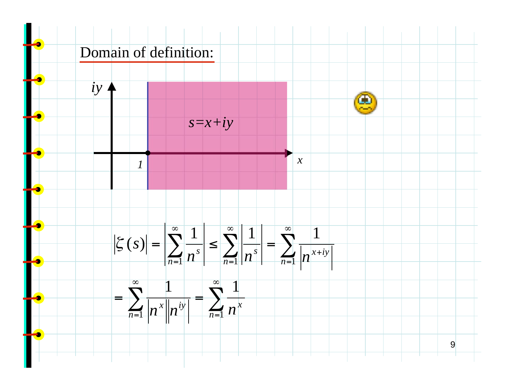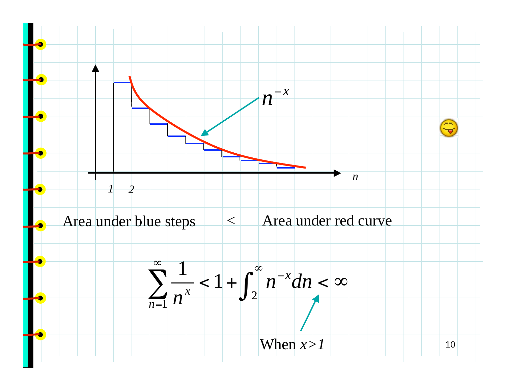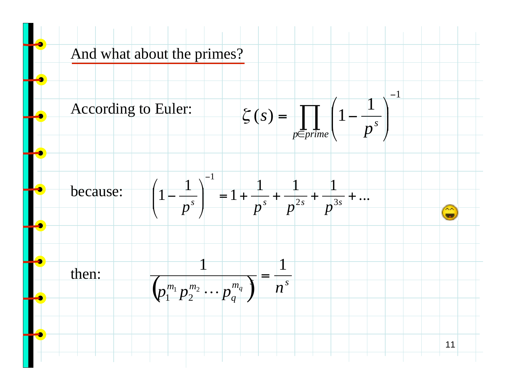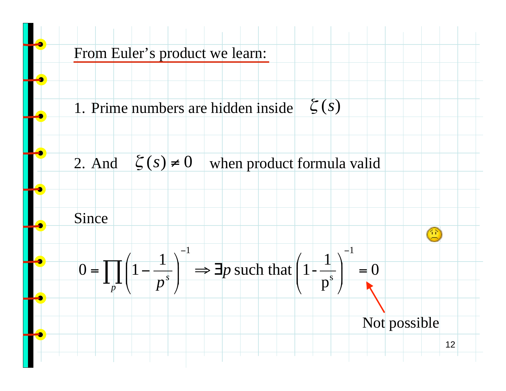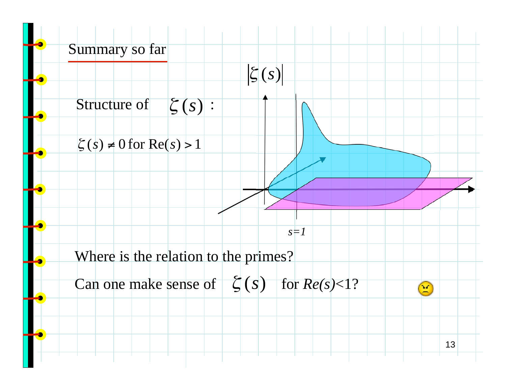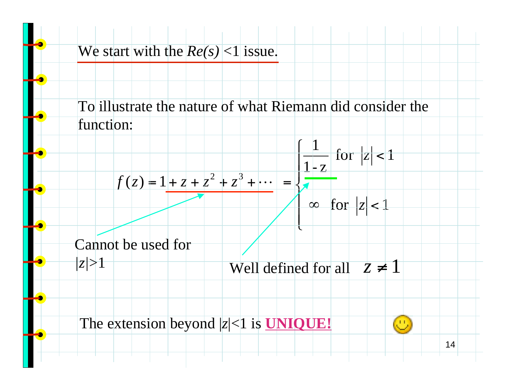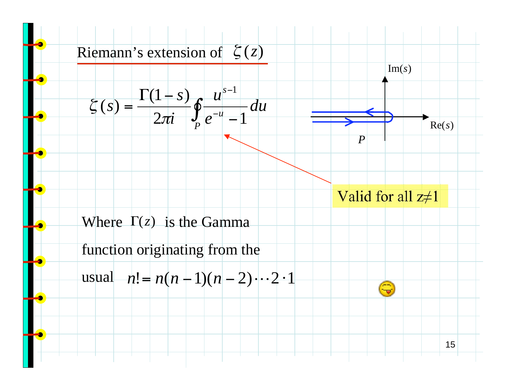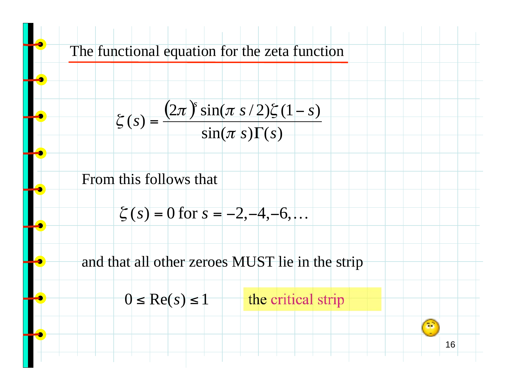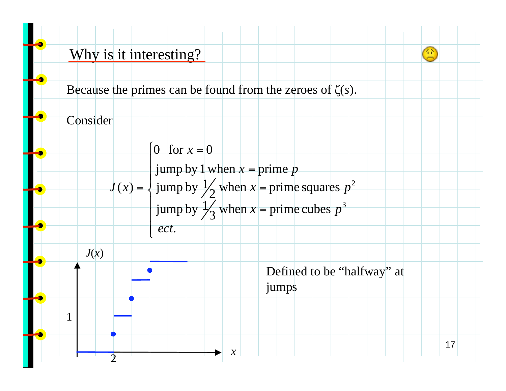

Because the primes can be found from the zeroes of  $\zeta(s)$ .



2



. *ect*

jump by 1 when  $x =$  prime  $p$ 

$$
J(x) = \begin{cases} \text{jump by 1 when } x = \text{prime } p \\ \text{jump by } \frac{1}{2} \text{ when } x = \text{prime squares } p^2 \end{cases}
$$

jump by 
$$
\frac{1}{3}
$$
 when  $x$  = prime cubes  $p$   
ect.



*x*

17

선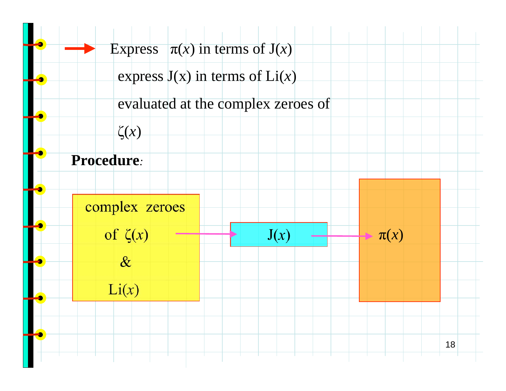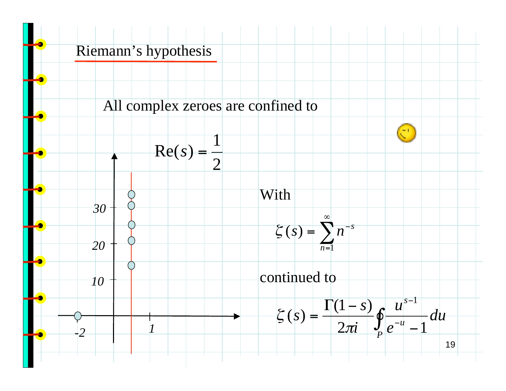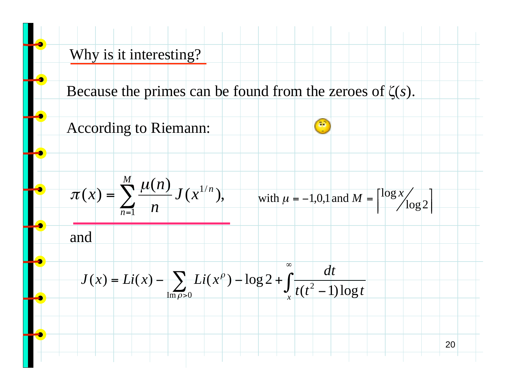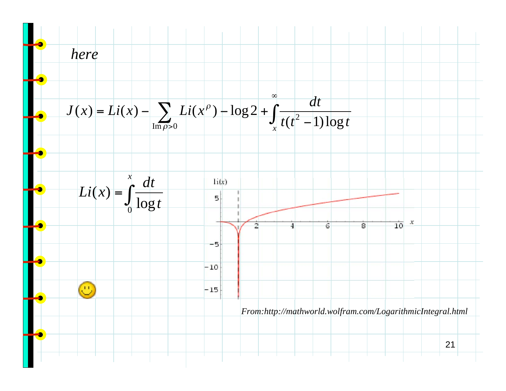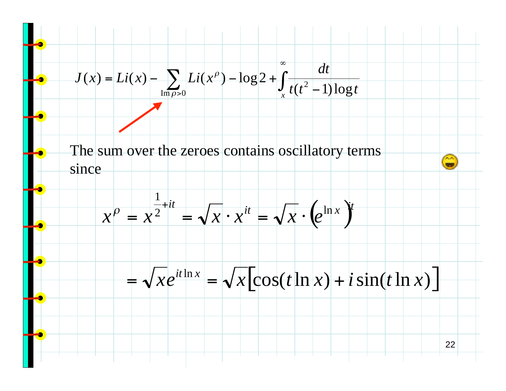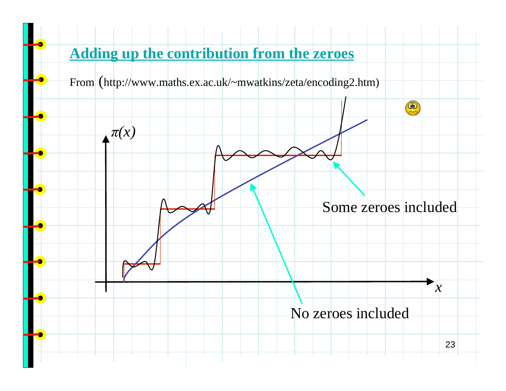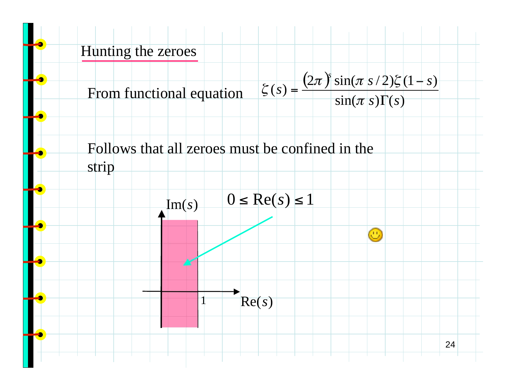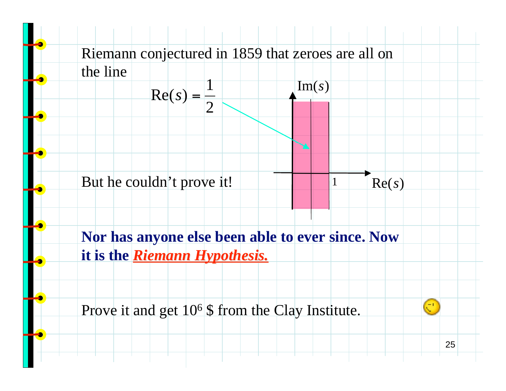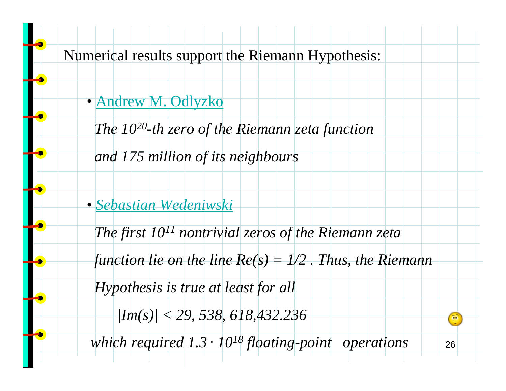Numerical results support the Riemann Hypothesis:

• Andrew M. Odlyzko

 *The 1020-th zero of the Riemann zeta function*

 *and 175 million of its neighbours*

• *Sebastian Wedeniwski*

 *The first 1011 nontrivial zeros of the Riemann zeta*

 *function lie on the line Re(s) = 1/2 . Thus, the Riemann*

 *Hypothesis is true at least for all*

 *|Im(s)| < 29, 538, 618,432.236*

 *which required 1.3 . 1018 floating-point operations*

26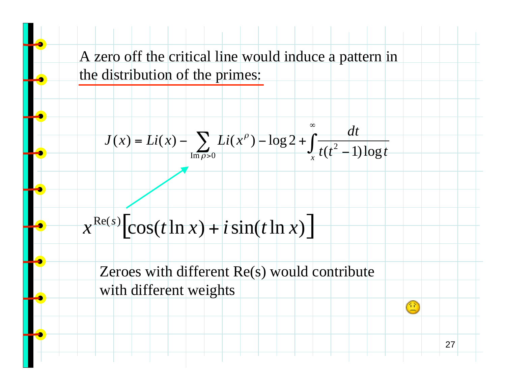A zero off the critical line would induce a pattern in the distribution of the primes:

$$
J(x) = Li(x) - \sum_{\text{Im }\rho > 0} Li(x^{\rho}) - \log 2 + \int_{x}^{\infty} \frac{dt}{t(t^2 - 1)\log t}
$$

 $x^{\text{Re}(s)}[\cos(t \ln x) + i \sin(t \ln x)]$ 

Zeroes with different Re(s) would contribute with different weights

27

 $\mathbb{C}$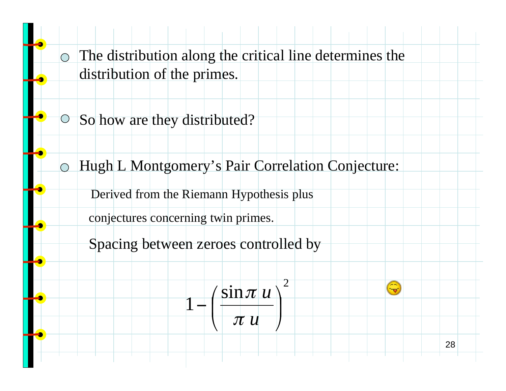The distribution along the critical line determines the  $\bigcirc$ distribution of the primes.

**So how are they distributed?** 

Hugh L Montgomery's Pair Correlation Conjecture:  $\bigcirc$ 

Derived from the Riemann Hypothesis plus

conjectures concerning twin primes.

Spacing between zeroes controlled by

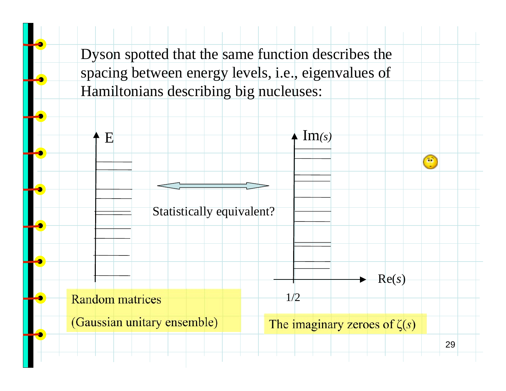Dyson spotted that the same function describes the spacing between energy levels, i.e., eigenvalues of Hamiltonians describing big nucleuses:

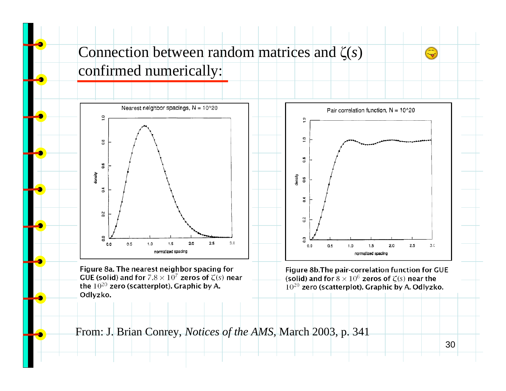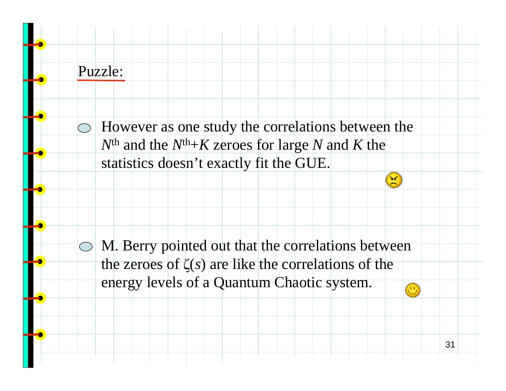## Puzzle:

However as one study the correlations between the  $N^{\text{th}}$  and the  $N^{\text{th}}+K$  zeroes for large *N* and *K* the statistics doesn't exactly fit the GUE.

M. Berry pointed out that the correlations between the zeroes of  $\zeta(s)$  are like the correlations of the energy levels of a Quantum Chaotic system.Œ,

31

 $\bigcirc$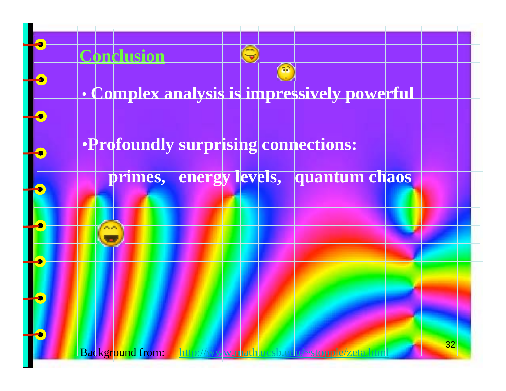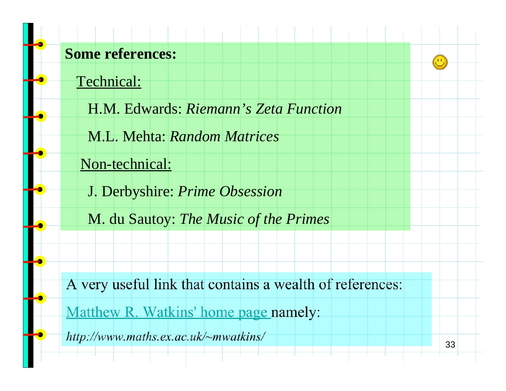## **Some references:**

Technical:

H.M. Edwards: *Riemann's Zeta Function*

M.L. Mehta: *Random Matrices*

Non-technical:

J. Derbyshire: *Prime Obsession*

M. du Sautoy: *The Music of the Primes*

A very useful link that contains a wealth of references:

Matthew R. Watkins' home page namely:

*http://www.maths.ex.ac.uk/~mwatkins/*